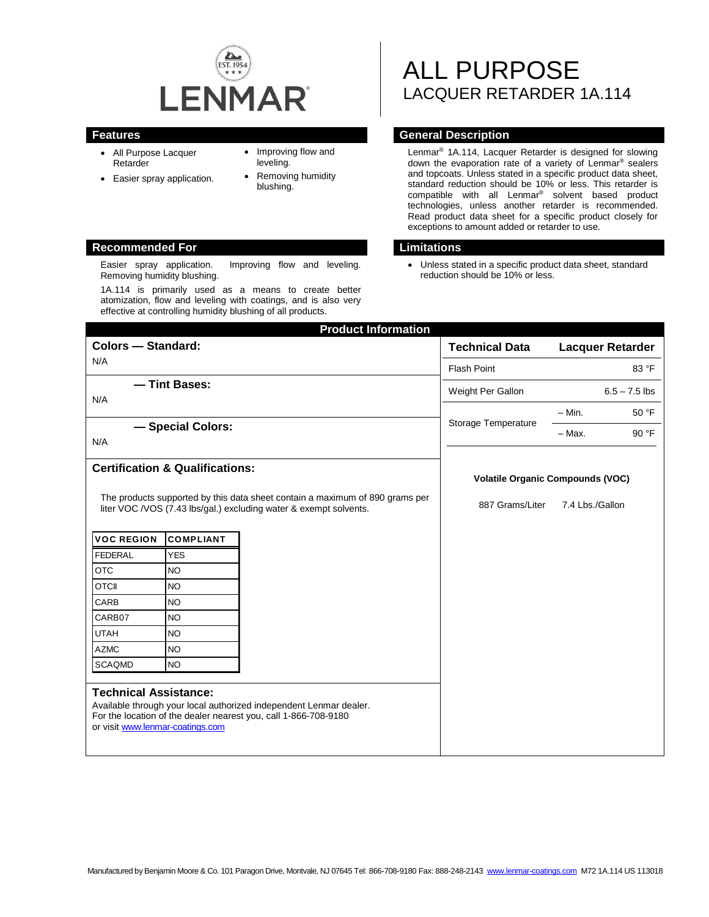

- All Purpose Lacquer Retarder
- Easier spray application.
- Improving flow and leveling.
- Removing humidity blushing.

### **Recommended For Limitations**

Easier spray application. Improving flow and leveling. Removing humidity blushing.

1A.114 is primarily used as a means to create better atomization, flow and leveling with coatings, and is also very effective at controlling humidity blushing of all products.

# ALL PURPOSE LACQUER RETARDER 1A.114

## **Features General Description**

Lenmar® 1A.114, Lacquer Retarder is designed for slowing down the evaporation rate of a variety of Lenmar® sealers and topcoats. Unless stated in a specific product data sheet, standard reduction should be 10% or less. This retarder is compatible with all Lenmar® solvent based product technologies, unless another retarder is recommended. Read product data sheet for a specific product closely for exceptions to amount added or retarder to use.

 Unless stated in a specific product data sheet, standard reduction should be 10% or less.

| <b>Product Information</b>                                                                                                                        |                  |                                                                                                                                       |                                         |                         |       |
|---------------------------------------------------------------------------------------------------------------------------------------------------|------------------|---------------------------------------------------------------------------------------------------------------------------------------|-----------------------------------------|-------------------------|-------|
| <b>Colors - Standard:</b>                                                                                                                         |                  |                                                                                                                                       | <b>Technical Data</b>                   | <b>Lacquer Retarder</b> |       |
| N/A                                                                                                                                               |                  |                                                                                                                                       | <b>Flash Point</b>                      | 83 °F                   |       |
| - Tint Bases:                                                                                                                                     |                  |                                                                                                                                       | Weight Per Gallon                       | $6.5 - 7.5$ lbs         |       |
| N/A                                                                                                                                               |                  |                                                                                                                                       | Storage Temperature                     | $-$ Min.                | 50 °F |
| - Special Colors:                                                                                                                                 |                  |                                                                                                                                       |                                         |                         |       |
| N/A                                                                                                                                               |                  |                                                                                                                                       |                                         | $-$ Max.                | 90 °F |
|                                                                                                                                                   |                  |                                                                                                                                       |                                         |                         |       |
| <b>Certification &amp; Qualifications:</b>                                                                                                        |                  |                                                                                                                                       | <b>Volatile Organic Compounds (VOC)</b> |                         |       |
| The products supported by this data sheet contain a maximum of 890 grams per<br>liter VOC /VOS (7.43 lbs/gal.) excluding water & exempt solvents. |                  |                                                                                                                                       | 887 Grams/Liter<br>7.4 Lbs./Gallon      |                         |       |
| <b>VOC REGION</b>                                                                                                                                 | <b>COMPLIANT</b> |                                                                                                                                       |                                         |                         |       |
| <b>FEDERAL</b>                                                                                                                                    | <b>YES</b>       |                                                                                                                                       |                                         |                         |       |
| <b>OTC</b>                                                                                                                                        | <b>NO</b>        |                                                                                                                                       |                                         |                         |       |
| <b>OTCII</b>                                                                                                                                      | <b>NO</b>        |                                                                                                                                       |                                         |                         |       |
| CARB                                                                                                                                              | <b>NO</b>        |                                                                                                                                       |                                         |                         |       |
| CARB07                                                                                                                                            | <b>NO</b>        |                                                                                                                                       |                                         |                         |       |
| <b>UTAH</b>                                                                                                                                       | <b>NO</b>        |                                                                                                                                       |                                         |                         |       |
| <b>AZMC</b>                                                                                                                                       | <b>NO</b>        |                                                                                                                                       |                                         |                         |       |
| <b>SCAQMD</b>                                                                                                                                     | <b>NO</b>        |                                                                                                                                       |                                         |                         |       |
| <b>Technical Assistance:</b><br>or visit www.lenmar-coatings.com                                                                                  |                  | Available through your local authorized independent Lenmar dealer.<br>For the location of the dealer nearest you, call 1-866-708-9180 |                                         |                         |       |